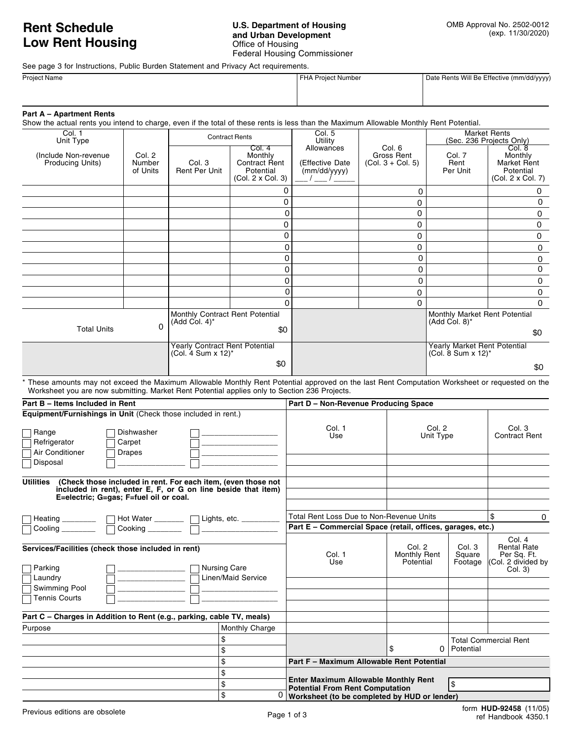## **Rent Schedule Low Rent Housing**

## **U.S. Department of Housing and Urban Development** Office of Housing Federal Housing Commissioner

See page 3 for Instructions, Public Burden Statement and Privacy Act requirements.

| <b>Project Name</b> | FHA Project Number | Date Rents Will Be Effective (mm/dd/yyyy) |
|---------------------|--------------------|-------------------------------------------|
|                     |                    |                                           |
|                     |                    |                                           |

|  | <b>Part A - Apartment Rents</b> |  |
|--|---------------------------------|--|
|--|---------------------------------|--|

Show the actual rents you intend to charge, even if the total of these rents is less than the Maximum Allowable Monthly Rent Potential.

| Col. 1<br>Unit Type                                                                                                                                                                                                                              |                              | <b>Contract Rents</b>                               |                                                                            | Col. 5<br>Utility                                     |                                             | <b>Market Rents</b><br>(Sec. 236 Projects Only)   |                                                                           |
|--------------------------------------------------------------------------------------------------------------------------------------------------------------------------------------------------------------------------------------------------|------------------------------|-----------------------------------------------------|----------------------------------------------------------------------------|-------------------------------------------------------|---------------------------------------------|---------------------------------------------------|---------------------------------------------------------------------------|
| (Include Non-revenue)<br>Producing Units)                                                                                                                                                                                                        | Col. 2<br>Number<br>of Units | Col. 3<br><b>Rent Per Unit</b>                      | Col.4<br>Monthly<br><b>Contract Rent</b><br>Potential<br>(Col. 2 x Col. 3) | Allowances<br>(Effective Date<br>(mm/dd/yyyy)         | Col. 6<br>Gross Rent<br>$(Col. 3 + Col. 5)$ | Col. 7<br>Rent<br>Per Unit                        | Col. 8<br>Monthly<br><b>Market Rent</b><br>Potential<br>(Col. 2 x Col. 7) |
|                                                                                                                                                                                                                                                  |                              |                                                     |                                                                            |                                                       | 0                                           |                                                   | 0                                                                         |
|                                                                                                                                                                                                                                                  |                              |                                                     |                                                                            |                                                       | $\mathbf 0$                                 |                                                   | 0                                                                         |
|                                                                                                                                                                                                                                                  |                              |                                                     |                                                                            |                                                       | 0                                           |                                                   | 0                                                                         |
|                                                                                                                                                                                                                                                  |                              |                                                     | 0                                                                          |                                                       | 0                                           |                                                   | 0                                                                         |
|                                                                                                                                                                                                                                                  |                              |                                                     | 0                                                                          |                                                       | 0                                           |                                                   | 0                                                                         |
|                                                                                                                                                                                                                                                  |                              |                                                     |                                                                            |                                                       | 0                                           |                                                   | 0                                                                         |
|                                                                                                                                                                                                                                                  |                              |                                                     | 0                                                                          |                                                       | 0                                           |                                                   | 0                                                                         |
|                                                                                                                                                                                                                                                  |                              |                                                     |                                                                            |                                                       | 0                                           |                                                   | 0                                                                         |
|                                                                                                                                                                                                                                                  |                              |                                                     |                                                                            |                                                       | 0                                           |                                                   | 0                                                                         |
|                                                                                                                                                                                                                                                  |                              |                                                     |                                                                            |                                                       | 0                                           |                                                   | 0                                                                         |
|                                                                                                                                                                                                                                                  |                              |                                                     | O                                                                          |                                                       | 0                                           |                                                   | $\Omega$                                                                  |
| $\Omega$                                                                                                                                                                                                                                         |                              | Monthly Contract Rent Potential<br>$(Add Col. 4)^*$ |                                                                            |                                                       |                                             | Monthly Market Rent Potential<br>$(Add Col. 8)^*$ |                                                                           |
| <b>Total Units</b><br>\$0<br><b>Yearly Contract Rent Potential</b><br>(Col. 4 Sum x 12)*                                                                                                                                                         |                              |                                                     |                                                                            |                                                       |                                             |                                                   | \$0                                                                       |
|                                                                                                                                                                                                                                                  |                              |                                                     |                                                                            | Yearly Market Rent Potential<br>(Col. 8 Sum x $12$ )* |                                             |                                                   |                                                                           |
|                                                                                                                                                                                                                                                  |                              |                                                     | \$0                                                                        |                                                       |                                             |                                                   | \$0                                                                       |
| * These amounts may not exceed the Maximum Allowable Monthly Rent Potential approved on the last Rent Computation Worksheet or requested on the<br>Worksheet you are now submitting. Market Rent Potential applies only to Section 236 Projects. |                              |                                                     |                                                                            |                                                       |                                             |                                                   |                                                                           |

|                                                                                                                                                                                                                                                  |  | \$0                                       |                                                                                       |                                     |                             | \$0                                                                          |
|--------------------------------------------------------------------------------------------------------------------------------------------------------------------------------------------------------------------------------------------------|--|-------------------------------------------|---------------------------------------------------------------------------------------|-------------------------------------|-----------------------------|------------------------------------------------------------------------------|
| * These amounts may not exceed the Maximum Allowable Monthly Rent Potential approved on the last Rent Computation Worksheet or requested on the<br>Worksheet you are now submitting. Market Rent Potential applies only to Section 236 Projects. |  |                                           |                                                                                       |                                     |                             |                                                                              |
| Part B - Items Included in Rent                                                                                                                                                                                                                  |  |                                           | Part D - Non-Revenue Producing Space                                                  |                                     |                             |                                                                              |
| Equipment/Furnishings in Unit (Check those included in rent.)                                                                                                                                                                                    |  |                                           |                                                                                       |                                     |                             |                                                                              |
| Dishwasher<br>Range<br>Refrigerator<br>Carpet<br>Air Conditioner<br><b>Drapes</b><br>Disposal                                                                                                                                                    |  |                                           | Col. 1<br>Use                                                                         | Col. 2<br>Unit Type                 |                             | Col. 3<br><b>Contract Rent</b>                                               |
| <b>Utilities</b><br>(Check those included in rent. For each item, (even those not<br>included in rent), enter E, F, or G on line beside that item)<br>E=electric; G=gas; F=fuel oil or coal.                                                     |  |                                           |                                                                                       |                                     |                             |                                                                              |
| Heating ___________   Hot Water ________   Lights, etc. _________                                                                                                                                                                                |  |                                           | Total Rent Loss Due to Non-Revenue Units                                              |                                     |                             | \$<br>$\Omega$                                                               |
| Cooling ________                                                                                                                                                                                                                                 |  |                                           | Part E - Commercial Space (retail, offices, garages, etc.)                            |                                     |                             |                                                                              |
| Services/Facilities (check those included in rent)<br>Parking<br>Laundry                                                                                                                                                                         |  | <b>Nursing Care</b><br>Linen/Maid Service | Col. 1<br>Use                                                                         | Col. 2<br>Monthly Rent<br>Potential | Col. 3<br>Square<br>Footage | Col. 4<br><b>Rental Rate</b><br>Per Sq. Ft.<br>(Col. 2 divided by<br>Col. 3) |
| Swimming Pool<br><b>Tennis Courts</b>                                                                                                                                                                                                            |  |                                           |                                                                                       |                                     |                             |                                                                              |
| Part C – Charges in Addition to Rent (e.g., parking, cable TV, meals)                                                                                                                                                                            |  |                                           |                                                                                       |                                     |                             |                                                                              |
| Purpose                                                                                                                                                                                                                                          |  | Monthly Charge                            |                                                                                       |                                     |                             |                                                                              |
|                                                                                                                                                                                                                                                  |  | \$<br>\$                                  |                                                                                       | \$<br>0                             | Potential                   | <b>Total Commercial Rent</b>                                                 |
|                                                                                                                                                                                                                                                  |  | \$                                        | Part F - Maximum Allowable Rent Potential                                             |                                     |                             |                                                                              |
|                                                                                                                                                                                                                                                  |  | \$                                        |                                                                                       |                                     |                             |                                                                              |
|                                                                                                                                                                                                                                                  |  | \$                                        | <b>Enter Maximum Allowable Monthly Rent</b><br><b>Potential From Rent Computation</b> |                                     | Ι\$                         |                                                                              |
|                                                                                                                                                                                                                                                  |  | \$<br>0                                   | Worksheet (to be completed by HUD or lender)                                          |                                     |                             |                                                                              |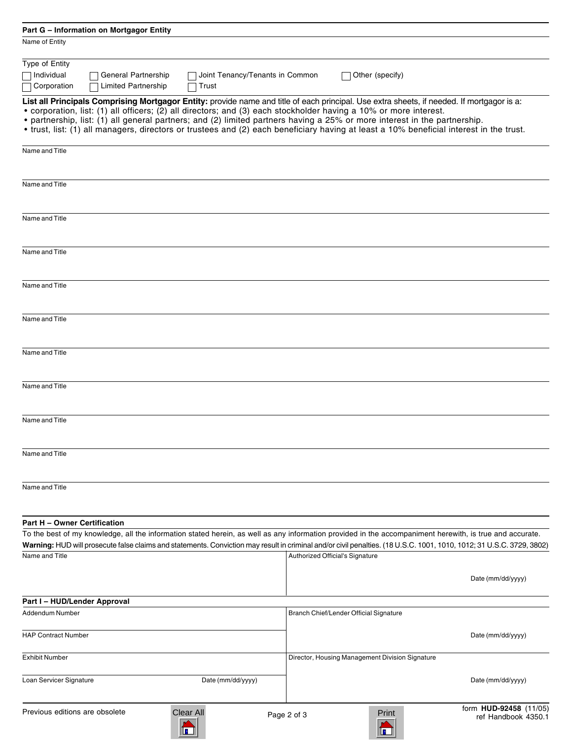| Part G - Information on Mortgagor Entity                                                                                                                              |                   |                                 |                                                 |                        |
|-----------------------------------------------------------------------------------------------------------------------------------------------------------------------|-------------------|---------------------------------|-------------------------------------------------|------------------------|
| Name of Entity                                                                                                                                                        |                   |                                 |                                                 |                        |
| Type of Entity                                                                                                                                                        |                   |                                 |                                                 |                        |
| Individual<br>General Partnership                                                                                                                                     |                   | Joint Tenancy/Tenants in Common | Other (specify)                                 |                        |
| Corporation<br><b>Limited Partnership</b>                                                                                                                             | Trust             |                                 |                                                 |                        |
| List all Principals Comprising Mortgagor Entity: provide name and title of each principal. Use extra sheets, if needed. If mortgagor is a:                            |                   |                                 |                                                 |                        |
| • corporation, list: (1) all officers; (2) all directors; and (3) each stockholder having a 10% or more interest.                                                     |                   |                                 |                                                 |                        |
| • partnership, list: (1) all general partners; and (2) limited partners having a 25% or more interest in the partnership.                                             |                   |                                 |                                                 |                        |
| • trust, list: (1) all managers, directors or trustees and (2) each beneficiary having at least a 10% beneficial interest in the trust.                               |                   |                                 |                                                 |                        |
| Name and Title                                                                                                                                                        |                   |                                 |                                                 |                        |
|                                                                                                                                                                       |                   |                                 |                                                 |                        |
| Name and Title                                                                                                                                                        |                   |                                 |                                                 |                        |
| Name and Title                                                                                                                                                        |                   |                                 |                                                 |                        |
|                                                                                                                                                                       |                   |                                 |                                                 |                        |
| Name and Title                                                                                                                                                        |                   |                                 |                                                 |                        |
|                                                                                                                                                                       |                   |                                 |                                                 |                        |
| Name and Title                                                                                                                                                        |                   |                                 |                                                 |                        |
|                                                                                                                                                                       |                   |                                 |                                                 |                        |
| Name and Title                                                                                                                                                        |                   |                                 |                                                 |                        |
|                                                                                                                                                                       |                   |                                 |                                                 |                        |
| Name and Title                                                                                                                                                        |                   |                                 |                                                 |                        |
| Name and Title                                                                                                                                                        |                   |                                 |                                                 |                        |
|                                                                                                                                                                       |                   |                                 |                                                 |                        |
| Name and Title                                                                                                                                                        |                   |                                 |                                                 |                        |
| Name and Title                                                                                                                                                        |                   |                                 |                                                 |                        |
|                                                                                                                                                                       |                   |                                 |                                                 |                        |
| Name and Title                                                                                                                                                        |                   |                                 |                                                 |                        |
|                                                                                                                                                                       |                   |                                 |                                                 |                        |
| Part H - Owner Certification                                                                                                                                          |                   |                                 |                                                 |                        |
| To the best of my knowledge, all the information stated herein, as well as any information provided in the accompaniment herewith, is true and accurate.              |                   |                                 |                                                 |                        |
| Warning: HUD will prosecute false claims and statements. Conviction may result in criminal and/or civil penalties. (18 U.S.C. 1001, 1010, 1012; 31 U.S.C. 3729, 3802) |                   |                                 |                                                 |                        |
| Name and Title                                                                                                                                                        |                   |                                 | Authorized Official's Signature                 |                        |
|                                                                                                                                                                       |                   |                                 |                                                 | Date (mm/dd/yyyy)      |
| Part I - HUD/Lender Approval                                                                                                                                          |                   |                                 |                                                 |                        |
| Addendum Number                                                                                                                                                       |                   |                                 | Branch Chief/Lender Official Signature          |                        |
|                                                                                                                                                                       |                   |                                 |                                                 |                        |
| <b>HAP Contract Number</b>                                                                                                                                            |                   |                                 |                                                 | Date (mm/dd/yyyy)      |
| <b>Exhibit Number</b>                                                                                                                                                 |                   |                                 | Director, Housing Management Division Signature |                        |
| Loan Servicer Signature                                                                                                                                               | Date (mm/dd/yyyy) |                                 |                                                 | Date (mm/dd/yyyy)      |
|                                                                                                                                                                       |                   |                                 |                                                 | form HUD-92458 (11/05) |
| Previous editions are obsolete                                                                                                                                        | Clear All         | Page 2 of 3                     | Print                                           | ref Handbook 4350.1    |